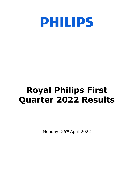

# **Royal Philips First Quarter 2022 Results**

Monday, 25<sup>th</sup> April 2022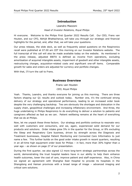# **Introduction**

# Leandro Mazzoni *Head of Investor Relations, Royal Philips*

Hi everyone. Welcome to the Philips First Quarter 2022 Results Call. Our CEO, Frans van Houten, and our CFO, Abhijit Bhattacharya, will take you through our strategic and financial highlights for the period, and, after that, we will take your questions.

Our press release, the slide deck, as well as frequently asked questions on the Respironics recall were published at 07.00 am CET this morning on our Investor Relations website. The full transcript of this call will also be made available today on the website. As mentioned in the press release, adjusted EBITA is defined as income from operations, excluding amortisation of acquired intangible assets, impairment of goodwill and other intangible assets, restructuring charges, acquisition-related costs and significant one-off items. Comparable growth for sales and orders are adjusted for currency and portfolio changes.

With that, I'll turn the call to Frans.

# **Business Overview**

Frans van Houten *CEO, Royal Philips*

Yeah. Thanks, Leandro, and thanks everyone for joining us this morning. There are three factors shaping our Q1 results and outlook today. Number one, it's the continued strong delivery of our strategy and operational performance, leading to an increased order book despite the very challenging backdrop. Two are obviously the shortages and dislocation in the supply chain, geopolitical challenges and increasing inflationary environment. And three, the huge undertaking in Philips Respironics to do everything to deliver a solution to patients and caregivers affected as fast as we can. Patient wellbeing remains at the heart of everything that we do at Philips.

Now, let me unpack these three factors. Our strategy and portfolio continue to resonate very well with customers and consumers, and we, again, experienced solid demand for our products and solutions. Order intake grew 5% in the quarter for the Group, or 8% excluding the Sleep and Respiratory Care business, driven by strength across the Diagnosis and Treatment businesses, Hospital Patient Monitoring and Connected Care Informatics to just name a few. This further builds on the good order intake growth in recent quarters, resulting in an all-time high equipment order book for Philips – in fact, more than 30% higher than a year ago – as shown on page 27 of our presentation.

During the first quarter, we also signed 12 more long-term strategic partnerships across the world, demonstrating the trust hospital leaders have in our ability to help them enhance health outcomes, lower the cost of care, improve patient and staff experience. Also, in China we signed an agreement with Shanghai East Hospital to provide its hospitals in the Shangdong and Hainan provinces with a broad range of image – advanced imaging and critical care solutions.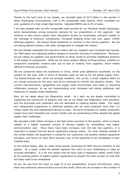Thanks to the hard work of our people, we recorded sales of  $\epsilon$ 3.9 billion in the quarter in these challenging circumstances, with a 4% comparable sales decline, which exceeded our prior guidance of a high single-digit decline. Adjusted EBITA was 6.2% of sales.

I am also pleased with the 8% comparable sales growth for our Personal Health businesses, which demonstrates strong consumer demand for our propositions in this segment. We continue to face severe supply chain disruptions across our businesses, primarily related to the shortage of electronic components, increased shipping times and now, again, COVID affecting suppliers. We expect these headwinds to continue in the coming quarters. But we are taking decisive actions, with daily management to mitigate the impact.

We had already expanded the long-term orders with our suppliers and increased spot buying. Our R&D teams are adjusting product designs to diversify sourcing of components. Moreover, we are calling on suppliers and governments at senior levels to prioritise healthcare products in the supply of components. While we see some positive effects of these actions, visibility on component availability remains poor due to lack of visibility from suppliers, which makes difficult to forecast accurately.

We are concerned about the lockdowns in China, which pose additional uncertainty on the outlook for the year, both in terms of domestic sales as well as for the global supply chain. The Russia-Ukraine war, which we strongly condemn, has, so far, a small negative effect on our overall revenues for the year, and we've continued to monitor the situation closely. The current macroeconomic, geopolitical and supply chain environment also leads to mounting inflationary pressure, so we are implementing price increases and taking additional cost measures to mitigate these headwinds.

Now, let me speak about the Respironics recall. As I said, we are deeply committed to supporting the community of patients who rely on our Sleep and Respiratory Care solutions, and the physicians and customers who are dedicated to meeting patient needs. The repair and replacement programme is underway globally and we have produced more than 2.2 million repair kits and replacement devices to date. We have increased our weekly production output more than threefold over recent months and are accelerating further despite the global supply chain challenges.

We recorded a €65 million increase in the field action provision in the quarter, which is mainly related to a higher expected volume of devices eligible for remediation and higher communication cost. Since there have been increases over the last two quarters, it is important to explain how the device registration process works. For most markets outside of the United States, the equipment is owned by our customers, the durable medical equipment providers, and hence we have fairly accurate view of the quantities to be remediated in their installed base.

In the United States, after an initial rental period, ownership of CPAP devices transfers to the patient. As a result, unless the patient registers the units it's very challenging to make an accurate estimation. It is for this reason that we have used a regression model, which looks at the existing pattern of weekly patient registrations to project the total number of units that will likely need to be remediated.

As you can see from the chart on page 33 of our presentation, around mid-February, when there was extensive communication around the recall, there was an increase in the number of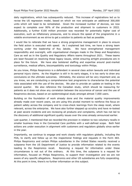daily registrations, which has subsequently reduced. This increase of registrations led us to revise the US regression model, based on which we now anticipate an additional 300,000 units which will need to be remediated. Given the increased number of devices, we now expect to complete over 90% of the production and shipment to customers in 2022. Additionally, a further €100 million provision was recorded for potentially higher cost of execution, such as inflationary pressures, and to ensure the speed of the programme in a volatile environment as we strive to get a solution to patients as fast as possible.

I would like to reiterate that we have a strong programme management in place to ensure the field action is executed with speed. As I explained last time, we have a strong team working under the leadership of Roy Jakobs. We have strengthened management responsibility and oversight, with organisational changes made in the Sleep and Respiratory Care as well as in the Quality and Regulatory Affairs teams throughout 2021. These teams are laser-focused on resolving these legacy issues, whilst ensuring airtight procedures are in place for the future. We have also bolstered staffing and expertise around post-market surveillance, medical affairs, biocompatibility and toxicology within Philips.

As you know, Philips Respironics is a defendant in several class action lawsuits and individual personal injury claims. As the litigation is still in its early stages, it is too early to draw any conclusions on the ultimate outcomes. Ultimately, the science will be very important and, as you know, we are conducting a comprehensive test programme to characterise the potential risks associated with the use of the devices. We plan to provide an update on testing in the second quarter. We also reference the Canadian study, which should be reassuring for patients as it does not show any correlation between the occurrence of cancer and the use of Respironics devices, based on an epidemiological study amongst almost 7,000 users.

Building on the foundation of work already done and the material quality improvements already made over recent years, we are using this pivotal moment to reinforce the focus on patient safety across the company and to cross-check learnings from the sleep recall, where relevant, across the enterprise. We have also further stepped up scrutiny and have re-looked at past severe incidents and are reviewing all products and complaints, which has not led to the discovery of additional significant quality issues over the ones already announced earlier.

Last quarter, I mentioned that we recorded the provision in relation to two voluntary recalls in smaller business lines in the Connected Care portfolio with a well-defined scope. Both field actions are under execution in alignment with customers and regulators globally since earlier in the year.

Importantly, we continue to engage and work closely with regulators globally, including the FDA, to clarify and follow up on the inspectional findings and requests in the Form 483. Philips Respironics and certain Philips subsidiaries in the United States recently received a subpoena from the US Department of Justice to provide information related to the events leading to the Respironics recall. Receiving a request for information under these circumstances is not out of the ordinary. At this time, the subpoena is a request for information, focused on Philips Respironics, to support their investigation and we are not aware of any specific allegations. Respironics and other US subsidiaries are fully cooperating. At this point in time, there's no further information on this subject.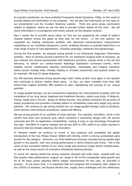As Leandro mentioned, we have published Frequently Asked Questions, FAQs, on the recall to provide details and clarification on the progress. You will also find information on the topic on our presentation and the Investor Relations website. There are some areas, particularly related to litigation, where we are not able to provide further details at this time. We will share information in a transparent and timely manner as the situation evolves.

Now I would like to provide some colour on how we are supporting the needs of today's hospital leaders across the globe as they plan for the future. In the first quarter, we expanded our leading ultrasound portfolio with advanced haemodynamic measurement capabilities on our handheld ultrasound, Lumify, enabling clinicians to quantify blood flow in a wide range of point of care applications, including cardiology, obstetrics and gynaecology.

During the first quarter, we enjoyed strong growth in our Enterprise Diagnostic Informatics portfolio. Next to winning several customers for our enterprise imaging suite of solutions, we also entered into several partnerships with healthcare providers, among which in the UK and Germany, to deliver our vendor-neutral Radiology Operations Command Centre, which enables remote collaboration between technologists, radiologists and imaging operation teams across multiple sites, thereby helping to increase productivity and expand access to, for example, MR and CT-based diagnosis.

Our MR business delivered strong double-digit order intake growth once again in the quarter and continued to deliver market share gains. In fact, our team installed more than 500 helium-free Ingenia Ambition MRI systems to date, highlighting the success of our unique portfolio.

In image-guided therapy, we are successfully expanding into interventional oncology with the installation of our lung cancer diagnosis and treatment solution, called Lung Suite, in Belgium, France, Israel and in the UK. Based on Philips Azurion, this solution enhances the accuracy of biopsy procedures and provides a therapy option to immediately treat early-stage lung cancer patients. We continue to see strong traction for our image-guided therapy suite of solutions, which delivers interventional procedures, speed and efficacy.

We see strong growth of our portfolio of smart devices. For example, OmniWire, which is the world's first solid core pressure wire, which combines a workhorse design with iFR proven outcomes and iFR co-registration compatibility, making it easy to use physiology throughout the case. OmniWire is a game-changer and we see 20% to 30% uplift in our sales volumes in accounts that are already adopting this innovation.

In Personal Health we continue to invest in new products and completed the global introduction of the new Philips Shaver S9000 with SkinIQ, which is driving accelerated sales growth for the category. Moreover, our Oral Healthcare business recorded strong double-digit growth in the quarter, with very strong performance in North America and China. This is the result of the successful refresh of our entry-range and premium-range electric toothbrushes, as well as the recent launch of innovative interdental cleaning devices.

To round off, looking ahead the strong customer demand and order book, coupled with our first quarter sales performance, support our range of 3% to 5% comparable sales growth and 40 to 90 basis points adjusted EBITA margin improvement for the year, as provided in January. At the same time, it is important that we recognise the increasing risks related to the COVID-19 situation, the Russia-Ukraine war, supply chain challenges and the inflationary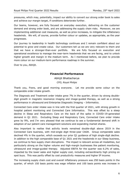pressures, which may, potentially, impact our ability to convert our strong order book to sales and achieve our margin target, if conditions deteriorate further.

Our teams, however, are fully focused on everyday execution, delivering on the customer demand and strong order book, and are addressing the supply chain risks. Moreover, we are implementing additional cost measures, as well as price increases, to mitigate the inflationary headwinds. We will, of course, provide further colour or updates, as appropriate, as the year progresses.

Our journey to leadership in health technology continues and I remain confident about our potential to grow and create value. Our customers tell us we are very relevant to them and that we have a stronger-than-ever portfolio. We are fully focused on execution and operational excellence to manage the near-term headwinds that we are facing, and to unlock higher growth and margin in the medium term. As I mentioned before, we plan to provide more colour on our medium-term performance roadmap in the summer.

Over to you, Abhijit.

## **Financial Performance**

Abhijit Bhattacharya *CFO, Royal Philips*

Thank you, Frans, and good morning everyone. Let me provide some colour on the comparable order intake growth.

The Diagnosis and Treatment order intake grew 7% in the quarter, driven by strong doubledigit growth in magnetic resonance imaging and image-guided therapy, as well as a strong performance in ultrasound and Enterprise Diagnostic Imaging – Informatics.

Connected Care order intake was in line with the first quarter of 2021, with strong growth in hospital patient monitoring and Connected Care Informatics. This was offset by a steep decline in Sleep and Respiratory Care on the back of the spike in COVID-19-generated demand in Q1 2021. Excluding Sleep and Respiratory Care, Connected Care order intake grew by 9%, and I'm very pleased that we continue to see a fundamental demand shift in adoption of our patient care management solutions and expanding market shares.

Also important to realise that activity levels remained double-digit above 2019 in the Connected Care business, with mid-single digit three-year CAGR. Group comparable sales declined 4% in the quarter, which exceeds our prior Q1 guidance of high single-digit decline. In addition to the high comparable base of Q1 2021 and the headwinds in our Sleep business, we continue to face supply chain disruptions. The impact is relevant across all modalities, but particularly strong on the higher volume and high-margin businesses like patient monitoring, ultrasound and image-guided therapy. Adjusted EBITA for the quarter was 6.2% of sales, impacted by the lower sales and higher supply cost, including extraordinarily high pricing on spot buys. This was partly offset by cost productivity measures and higher IP income.

The increasing supply chain cost and overall inflationary pressure was 250 basis points in the quarter, of which 150 basis points was wage inflation and 100 basis points was increase in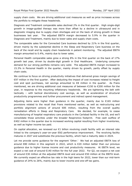supply chain costs. We are driving additional cost measures as well as price increases across the portfolio to mitigate these headwinds.

Diagnosis and Treatment comparable sales declined 2% in the first quarter. High single-digit growth in image-guided therapy was more than offset by a decline in ultrasound and in diagnostic imaging due to supply chain shortages and on the back of strong growth in these businesses last year. The adjusted EBITA margin decreased to 5.9% in the quarter in Diagnosis and Treatment, mainly due to lower sales and supply chain costs.

The comparable sales for the Connected Care business declined by 21% in the first quarter, driven mainly by the substantial decline in the Sleep and Respiratory Care business on the back of the recall and by supply chain headwinds in patient monitoring. The adjusted EBITA margin amounted to 0.4%, mainly due to lower sales.

Personal Health comparable sales grew a strong 8% in the first quarter on the back of 17% growth last year, driven by double-digit growth in Oral Healthcare. Underlying consumer demand for our strong portfolio remains very solid. The adjusted EBITA margin increased to 15.3% in Personal Health in the quarter, mainly driven by growth, partly offset by supply chain costs.

We continue to focus on driving productivity initiatives that delivered gross margin savings of €97 million in the first quarter. After deducting the impact of cost increases related to freight cost and spot purchases, net savings amounted to  $\epsilon$ 8 million in the quarter. As Frans mentioned, we are driving additional cost measures of between €150 to €200 million for the year, in response to the mounting inflationary headwinds. We are tightening the belt with tactically – with tactical discretionary cost savings, as well as acceleration of structural productivity programmes and further procurement and indirect spend management.

Adjusting items were higher than guidance in the quarter, mainly due to  $\epsilon$ 165 million provisions related to the recall that Frans mentioned earlier, as well as restructuring and portfolio alignment actions of around €85 million, resulting from the overall quality remediation efforts in Sleep and Respiratory Care. We decided, for example, to cease manufacturing of hospital respiratory care products in the Carlsbad facility in the US, and we'll consolidate those activities under the broader Respironics footprint. Free cash outflow of €402 million in the quarter due to increased working capital resulting from higher inventories, as well as higher income tax paid.

On capital allocation, we renewed our €1 billion revolving credit facility with an interest rate linked to the company's year-on-year ESG performance improvement. The revolving facility matures in 2027 and substitutes the previous facility, which had a maturity date in 2024.

Let me provide some guidance for the segment 'Other.' We had an adjusted EBITA loss of around €80 million in this segment in 2022, which is €20 million better than our previous guidance due to higher license income and cost productivity measures. At EBITA level, we expect a net cost of around €140 million for the full year 2022. For Q2, we expect a net cost of around €30 million at the adjusted EBITA level and around €50 million at the EBITA level. We currently expect an effective tax rate in the high teens for 2022, lower than our mid-term guidance of 24% to 26%, mainly due to lower income and one-off tax gains.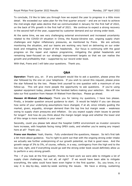To conclude, I'd like to take you through how we expect the year to progress in a little more detail. We exceeded our sales plan for the first quarter around – and are on track to achieve the mid-single digit sales decline that we communicated in January for the first half of 2022, on the back of 9% growth in the first half of 2021. We continue to expect a strong recovery in the second half of the year, supported by customer demand and our strong order book.

At the same time, we see very challenging external environment and increased uncertainty related to the COVID-19 situation in China, the Russia-Ukraine war, ongoing supply chain challenges and higher inflationary pressures, as mentioned by Frans. We are actively monitoring the situation, and our teams are working very hard on delivering on our order book and mitigating the impact of the headwinds. Our focus is continuing with the good progress on the repair and replace programme, mitigating the global headwinds and remaining laser-focused on our strategic improvement targets so that we can realise the growth and profitability that – supported by our record order book.

With that, Frans and I will take your questions. Thank you.

## **Q&A**

**Operator:** Thank you, sir. If any participant would like to ask a question, please press the star followed by the one on your telephone. If you wish to cancel this request, please press the star followed by the two. Please limit yourself to one question with a maximum of one follow-up. This will give more people the opportunity to ask questions. If you're using speaker equipment today, please lift the handset before making your selection. We will now take our first question from Hassan Al-Wakeel from Barclays. Please go ahead.

**Hassan Al-Wakeel (Barclays):** Thank you for taking my questions, I have two please. Firstly, a broader question around guidance to start. It would be helpful if you can discuss how some of your underlying assumptions have changed, if at all, since initially guiding the market, given, arguably, stronger demand than the top line but margin weak – weakness owing to supply chain pressures and inflation. Do you expect supply chain issues to persist for longer? And how do you think about the margin target range and whether the lower end of this range is more realistic in your view?

Secondly, could you please talk about the hospital CAPEX environment as investor concerns here increase, with hospitals facing rising OPEX costs, and whether you're seeing any impact here at all? Thank you.

**Frans van Houten:** Yeah, thanks. Fully understand the questions, Hassan. So let's first talk a bit more about guidance. You're right to point out that with the ongoing strong order intake we actually see further underpinning of our growth potential, so that is good news. And the growth range of 3% to 5%, of course, reflects, in a way, contingency from the high end to the low end, right, and if everything would go well the strong order book would definitely allow us to perform a very strong growth.

The – if you look at the first quarter, thanks to hard work we were able to mitigate a lot of supply chain challenges, but not all, all right? If we would have been able to mitigate everything, the sales could have been even higher in the first quarter. So, you know, in a way it is day-by-day, week-by-week working the issues. We have a strong, sustaining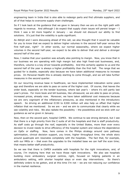engineering team in India that is also able to redesign parts and find ultimate suppliers, and all of that helps to overcome supply chain challenges.

So if I look back at the guidance that we gave in January then we are on the right path with regards to revenue. And although I do expect that supply chain issues will persist longer  $- I$ think I was a bit more hopeful in January – we should not discount our ability to find solutions. It's just that the volatility is quite significant.

As Abhijit and I were discussing ahead of this call, we also thought that it would be valuable for you to know that we expect to deliver higher volumes in the second half-year versus the first half-year, right? In other words, our normal seasonality, where we expect higher volumes in the second half-year, we expect to be able to deliver that and deliver a stronger second half of the year.

Now, I realise that your question was actually also pointing to margin. Now, you know that in our business we are operating with high margin but also high fixed-cost businesses, and, therefore, volume is a key driver towards profitability. And this certainly applies to us and the second half of the year is always a higher profitability than the first half. The range that we guided for is doable, especially also because we have taken additional measures to increase prices. On Personal Health this is already starting to come through, and we will take further measures in the second quarter.

On our recurring revenue base in healthcare, we have implemented indexation some years ago and therefore we are able to pass on some of the higher cost. Of course, that leaves the order book, especially on the tender business, where last year's – where it's still partly last year's prices. For more book and bill business, like ultrasound, we are able to pass on prices, increased prices, already now. Moreover, we have taken additional cost measures because we are very cognisant of the inflationary pressures, as also mentioned in the introductory speech. So driving an additional €150 to €200 million will also help us offset that higher inflation that we mentioned. So we are – and we aim to communicate that clearly while we see volatility and risks. We also radiate the possibility – the possibilities and we stick with our guidance as we've given in January.

Now, then on the second part, hospital CAPEX. We continue to see strong demand, but I see that there is a high priority from the C-suite of all the hospitals and that is staff productivity. As staff costs go through the roof, especially in the United States, more than ever every decision to invest needs to drive efficiency of the hospital system and reduce the dependence on OpEx or staffing. Now, here comes in the Philips strategy around care pathway optimisation, clinical decision support, you know, higher throughput time; the whole story around quadruple aim resonates completely with the hospitals. The fact that, for example, with our MRIs or – that even the upgrades to the installed base we can half the scan time; that means better staff productivity.

So we see that there is CAPEX available with hospitals for the right innovations, and, of course, I'm implying here that we have those right innovations. We also see hospitals building more ambulatory surgical centres, right, focused on helping patients in an ambulatory setting, with shorter hospital stays or even day interventions. So there's definitely orders to be gotten, and at this time I'm not – we are not reducing our confidence in the market resilience.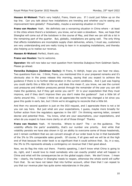**Hassan Al-Wakeel:** That's very helpful, Frans, thank you. If I could just follow up on the top line. Can you talk about how installations are trending and whether you're seeing any improvement here globally? Presumably, maybe a worsening situation in China?

**Frans van Houten:** Yeah. We definitely see a worsening situation in China where - at least in the cities where there's a lockdown; you know, we've seen a slowdown. Now, we hope that Shanghai will come out of the lockdown in the course of May, and then we can still do a lot in the remaining part of the quarter. But, globally, installations are going well. The only thing that affects installations are incomplete supply chain deliveries, where, I must say, customers are very understanding and are really trying to lean in in accepting installations, and thereby also helping us to realise our revenue.

**Hassan Al-Wakeel:** Perfect, thank you.

**Frans van Houten:** You're welcome.

**Operator:** We will now take our next question from Veronika Dubajova from Goldman Sachs. Please go ahead.

**Veronika Dubajova (Goldman Sachs):** Hi Frans, hi Abhijit, hope you can hear me okay. Two questions from me. I think, Frans, you mentioned this in your prepared remarks and it's obviously also in the press release this morning, saying that you expect to achieve the guidance if there is no further deterioration in the current conditions. And I just was hoping you could clarify this a little bit for us, and does this mean if, you know, we see the current cost pressures and inflation pressures persist through the remainder of the year you can still make the guidance, but if they get worse you can't? Or is your expectation that they must improve, and if they don't improve then you don't make the guidance? Just a little bit of clarity around this. I mean I think we all appreciate the world has changed a lot since you gave this guide in early Jan, but I think we're struggling to reconcile that a little bit.

And then my second question is just on the DOJ request, and I appreciate there is not a lot you can say here. But just what are your expectations, I guess, maybe more broadly for further action from the regulatory agencies in the US? I'm thinking warning letter, consent decree and potential fines. You know, what are your assumptions, your expectations, and when do you expect to have more clarity on all of those things? Thanks.

**Frans van Houten:** Yeah. Hi Veronika. Where to start? The – on the guidance. The volatility affects the parts' availability, that's our number one priority. And while that volatility persists we have also shown in Q1 an ability to overcome some of those headwinds, and I remain confident that we can convert enough of our order book to be in that bandwidth of the 3% to 5% comparable sales growth. Of course, if all goes well we will be at the high end of that because the order book is so significant that it could achieve that. So, in a way, the 3% to 5% represents already a contingency on revenue that I feel good about.

Now, we do flag the risks out there. Frankly speaking, I don't know what China is going to do, right, and I would love to meet somebody who can exactly predict what will happen in China and what will the consequences be on the global supply chain. We don't know. I mean the – clearly, the harbour in Shanghai needs to reopen, otherwise the whole world will suffer from that. So we have not taken that into further account, other than that I can repeat to you that our revenue plan has quite some redundancies in the plan.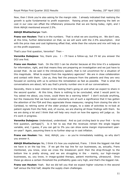Now, then I think you're also asking for the margin side. I already indicated that realising the growth is quite fundamental to profit expansion. Raising prices and tightening the belt on cost in our view can offset the inflationary pressures that we are facing today, right, and I think Abhijit mentioned around 2.5%.

#### **Abhijit Bhattacharya:** Yeah.

**Frans van Houten:** That is in the numbers. That is what we are counting on. We don't see, at this time, further deterioration on that, so we will work with the 2.5% assumption. And with the price rises and cost tightening offset that, while then the volume and mix will help us on the profit expansion.

That's your first question, Veronika? Then –

**Veronika Dubajova:** Yes, thank you. I – I'll have a follow-up, but I'll let you answer the DOJ one first.

**Frans van Houten:** Yeah. On the DOJ I can be shorter because at this time it's a subpoena for information, right, and that means they are preparing an investigation and we just have to accept that. As we said in the introductory speech, that is not uncommon for a situation of this magnitude. What to expect from the regulatory agencies? We are in close collaboration and contact with them. Like us, they feel the pressure from the patients and they are very focused on working with us to achieve the remediation as fast as possible. That is what the conversations are about; let's say that's priority number one in all our conversations.

Secondly, there is keen interest in the testing that's going on and what we expect to share in the second quarter. At this time, there is nothing to be concluded, what I would point to. You asked me about, you know, could there be a warning letter? I don't exclude anything, but the measures that we have taken voluntarily are of such a significance that it has gotten the attention of the FDA and they appreciate those measures; ranging from closing the site in Carlsbad, to retiring some of the older product ranges, to a slate of activities to re-look at patient signals from the field, and, of course, we are sharing all those findings with them. So we are doing a lot and I think that will help very much on how the agency will judge us. So it's work in progress.

**Veronika Dubajova:** Understood, understood. And so just circling back to your first – to my first question, perhaps[?]. Is it fair to say that the revenues remain the single biggest variable, and, I guess, if you can get to 3% you can show some margin improvement yearon-year? Again, assuming there is no further step-up in cost inflation.

**Frans van Houten:** Yes. And, Abhijit, you - so you're immediately nodding, so why don't you answer it.

**Abhijit Bhattacharya:** No, I think it's how you explained, Frans. I think the biggest risk that we have is on the top line. If we get the top line for our businesses, as, actually, Frans mentioned, you know, once we cross the breakeven point then the drop-through to the bottom line is pretty strong, and we are struggling in the – mainly, our high-margin businesses, so, you know, in image-guided therapy, patient monitoring, ultrasound. Once these go above a certain threshold the profitability goes very high, and that's the biggest risk.

**Frans van Houten:** Yeah. But we did tell you that we expect higher volumes in the second half versus the first half, despite the supply chain challenges.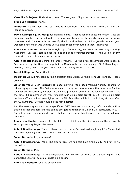**Veronika Dubajova:** Understood, okay. Thanks guys. I'll go back into the queue.

**Frans van Houten:** Thanks.

**Operator:** We will now take our next question from David Adlington from J.P. Morgan. Please go ahead.

**David Adlington (J.P. Morgan):** Morning gents. Thanks for the questions today. Just on Personal Health, I just wondered if you saw any stocking in the quarter ahead of the price increases and if you're able to quantify that? And within that 7.7% growth number, just wondered how much was volume versus price that's contributed to that? Thank you.

**Frans van Houten:** Let me be straight up. On stocking, we have not seen any stocking happening. In fact, there is good sell out and good consumer traction. Then I'll look at my team with regards to volume versus price.

Abhijit Bhattacharya: I think it's largely volume. So the price agreements were made in February, so by the time you supply it in March with the new pricing. So I think largely volume, David, that's how you should look at it, a very small part in price.

**David Adlington:** Great, thank you.

**Operator:** We will now take our next question from Julien Dormois from BNP Paribas. Please go ahead.

**Julien Dormois (BNP Paribas):** Hi, good morning Frans, good morning Abhijit. Thanks for taking my questions. The first one relates to the growth assumptions that you have for the full year but dissected by division. I think you provided some after the full year numbers. At the time, if I remember well you reflected high single-digit growth in D&T, low single-digit decline in CC and mid-single-digit growth in PH. Does that still hold true looking at the – after the Q1 numbers? So that would be the first question.

And the second question is more specific on D&T, because you started, unfortunately, with a decline in that business and the comps are getting tougher in Q2 and Q3, particularly in IGT. So just curious to understand why – what we may see in this division to get to the full year number?

**Frans van Houten:** Yeah. I – hi Julien – I think on the first question those growth assumptions stay largely the same.

**Abhijit Bhattacharya:** Yeah. I think, maybe – so we've said mid-single-digit for Connected Care and high single for D&T. I think that remains, so –

**Julien Dormois:** PH, you mean?

**Abhijit Bhattacharya:** Yeah. But also for D&T we had said high single digit. And for PH we had said –

**Julien Dormois:** Mid.

**Abhijit Bhattacharya:** – mid-single-digit, so we will be there or slightly higher, but Connected Care will be a mid-single-digit decline.

**Frans van Houten:** Take the second one.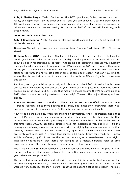**Abhijit Bhattacharya:** Yeah. So then on the D&T, you know, Julien, we are held back, really, on supply chain. So the order book is – and you talk about IGT, but the order book in IGT continues to grow. So despite the tough comps, if we are able to get the supplies of critical components that we are looking for the second half of the year will be strong, with good growth.

**Julien Dormois:** Okay, thank you.

**Abhijit Bhattacharya:** Yeah. So you will also see growth coming back in Q2, but second half will be also very strong.

**Operator:** We will now take our next question from Graham Doyle from UBS. Please go ahead.

**Graham Doyle (UBS):** Morning. Thanks for taking my call – my questions. Just on the recall, you haven't talked about it so much today. And I just noticed on slide 33 you talk about a spike in registrations in February. And it's kind of interesting, because you obviously then published a statement in regards to an FDA update on  $10<sup>th</sup>$  March, where they were asking you to communicate more effectively with patients. So is there a risk that maybe that starts to tick through and we get another spike at some point soon? And can you, kind of, square that for me just in terms of the communication with the FDA coming after you've seen this spike?

And then, lastly, just a follow up to that, which is you talk about 90% of production for these devices being complete by the end of this year, which sort of implies that there'll be further production in the recall in 2023. Does that mean we should assume there'll be some point in 2023 when you are not selling systems commercially? Thanks. That – just those questions, please.

**Frans van Houten:** Yeah. Hi Graham. The – it's true that the intensified communication in – around February led to more patients registering, but immediately afterwards there was, again, a reduction of the weekly rate. So the spike up was not very significant.

Now, to be on the safe side, when you imagine an asymptotic, kind of, regression model that keeps, let's say, reducing, as is shown in the slide, when you – yeah, when you raise that curve a little bit it already adds up to a higher assumption on numbers. So let me be clear, at this time those 300,000 additional patients have not materialised yet, but it is  $-$  it's the consequence of using a regression model and with the slightly higher registrations in the first quarter, it means that that you lift the whole tail, right? But the characteristics of that curve are firmly confirmed, right? I mean that sounds a bit funny, firmly confirmed, but I mean solidly confirmed, right? So we see the decline continuing on a week-by-week basis, right? That also gives us belief that there's not going to be a radical, different inside as time progresses; in fact, the model becomes more accurate as time progresses.

The – and so the  $\epsilon$ 65 million additional is only in part for the extra volume. In part, it is for the fact that we decided to keep a higher level of patient communication out there into next year, which we then provided for.

The current view on production and deliveries, because this is not only about production but also the delivery into the field, is that we will exceed 90% by the end of 2022. And I add the word delivery because, you know, before it reaches the patient it takes time, right? That also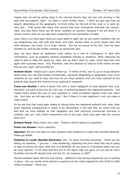implies that we will be earlier done in the internal factory than the last unit arriving in the field with the patient, right? So there is some fluidity there. I think we said also that we expect, depending on the geography, to finish either by the end of this year or in early Q1 next year. That would also imply that around that time commercial activities can resume, right, and also there there can be some variation by country, because if we are done in a certain country then we can also start preparing for the resumption of sales.

Look, there is no hard signs about an exact week or date, but we are pretty confident that we are progressing very well with the recall, and yeah, please allow us some weeks back and forth because, you know, it's a huge volume. But we are proud of the fact, how we have ramped up, and we see further ramping up during the year.

Now, we have taken an additional €100 million as a sort of contingency to deal with unforeseens, such as suppliers wanting expediting charges or whatever, other measures we need to take to keep the speed up, right, and we didn't want to, yeah, come back time and again with surprises there. And, therefore, with this decision to reserve €100 million we feel that we are, yeah, well provided for.

**Graham Doyle:** Maybe just a quick follow-up. In terms of the, sort of, go or no-go decision about when you can start selling commercially, obviously depending on geography, how much certainty do you need to have and how do you have certainty that you have reached all the patients that require the machine to be replaced or repaired?

**Frans van Houten:** I think it starts first with a moral obligation to treat patients first, and, therefore, we want to get very far, let's say, in delivering against the registered patients. And maybe that's where the core of your question is, could somebody register even next year? Yes. And then we will deal with it, right? But if there is a late registrant it will not make a huge impact.

So we see that that moral gate relates to having done the registered patients and, yeah, then given logistical consequences it needs to be somewhere in the high 90s, by which time we feel that we have fulfilled on that obligation and that resuming commercial activities is justified, and, as I said, that's somewhere end of the year, early next year with the current looks of it.

**Graham Doyle:** Okay, that's very clear. Thanks a lot for taking my questions.

**Frans van Houten:** You're welcome.

**Operator:** We will now take our next question from Delphine Le Louët from Société Générale. Please go ahead.

**Delphine Le Louët (Société Générale):** Yes. Hi, good morning everybody. Thank you for taking my question. I got two. I was wondering, regarding the price hikes that you're going to pass on across the year, what sort of a flexibility do you have on a divisional basis, can you be more specific? If we stick with this 2% to 3% figure that you gave, do you see far more flexibility into the PS division than into the CC, for instance, or D&T?

Second question deals with the cost saving – additional cost saving programme you're putting in place. Can you clarify which division is going to be the most impacted by this €150 to €200 million envelope? Thank you.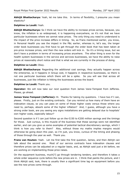**Abhijit Bhattacharya:** Yeah, let me take this. In terms of flexibility, I presume you mean elasticity?

#### **Delphine Le Louët:** Yeah.

**Abhijit Bhattacharya:** So I think we have the ability to increase prices across, because, you know, the inflation is so widespread, it is happening everywhere, so it's not that we have particular businesses where we cannot raise prices. The only thing you need to understand is the impact of the price increase differs in timing. So, as Frans mentioned earlier, you know, in Personal Health you see the impact in the P&L earlier, whereas in, let's say, the longer order book businesses you first have to get through the order book that has been taken at pre-price increase prices, and then the new orders will kick in. So it's a timing issue, but we don't have a problem in terms of increasing prices anywhere. The other thing is even for the health system businesses in the service and services businesses, we have the ability to raise prices at reasonably short notice and that is what we are currently in the process of doing.

#### **Delphine Le Louët:** Okay.

**Abhijit Bhattacharya:** Regarding the additional cost savings, they actually happen across the enterprise, so it happens in Group cost, it happens in respective businesses, so there is not one particular business which there will be a spike. So you will see that across all businesses, just like inflation is hitting the businesses across the board.

#### **Delphine Le Louët:** Thank you.

**Operator:** We will now take our next question from James Vane-Tempest from Jefferies. Please, go ahead.

James Vane-Tempest (Jefferies): Hi. Thanks for taking my questions. I have two if I can, please. Firstly, just on the existing contracts. Can you remind us how many of them have an indexation clause, so you can pass on some of those higher costs versus those where you need to, perhaps, absorb some of the higher inflation? And, I guess, although you have a strong order book, are you seeing any signs installations are getting delayed due to hospitals' own higher costs, especially labour?

Second question is if I can just follow up on the €150 to €200 million savings and the timings for those. Just curious, is this muscle of the business that these savings were not identified earlier, and can you give us some examples of potential tactical discretionary savings, which I think is how you refer to them? Also, without those my maths implies margins would otherwise be going down this year, so I'm just, you know, curious of the timing and phasing of those through the year as well. Thank you.

**Frans van Houten:** Yeah. Let me first take the first question, James, and then Abhijit can talk about the second one. Most of our service contracts have indexation clauses and therefore prices can be adjusted on a regular basis, and, as Abhijit said just a bit before, we are working on implementing those price raises.

On the equipment business, much[?] go through tendering tenders, and therefore it takes a whole order sequence cycle before the new prices are in. I think that paints the picture, and I think Abhijit said, look, there is usually then a significant time lag on equipment before you see the new prices come through.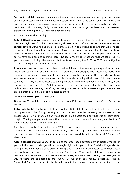For book and bill business, such as ultrasound and some other shorter cycle healthcare system businesses, we can be almost immediate, right? So as we take – as we currently take orders, it is going to be against higher prices. So three buckets. Services, fairly immediate, book and bill business, fairly immediate, and then the large tender-driven businesses, diagnostic imaging and IGT, it takes a longer time.

#### I think I covered that. Abhijit?

**Abhijit Bhattacharya:** Yeah. I think in terms of cost saving, the plan is to get the savings this year, right, so it's still in the remaining three-quarters. If you look at the discretionary or tactical savings we've talked of, be it in travel, be it in exhibitions or shows that we conduct, it's also looking at our temporary labour force to see where we can flex it. We also have factories which are idle for a certain amount of time because of the lack of parts availability, so we have programmes running there. So it's a multitude of actions that we take. But to your concern on timing, the amount that we talked about, the €150 to €200 is a mitigation that we are expecting within this year.

**Frans van Houten:** Yeah. And then I realise I have not answered your question on, you know, our customers delaying orders. Customers also struggle with access to parts and materials from supply chain, and if they have a renovation project in their hospital we have seen some delays in room readiness, but that's much more logistical constraint than a desire to delay. In fact, I see no desire to delay; hospitals want the additional capacity, they want the increased productivity. And I did also say they have understanding for when we come with a delay, and we are, therefore, not being bombarded with requests for penalties and so on. So there's, I think, a good coexistence there.

#### **James Vane-Tempest:** Thank you.

**Operator:** We will take our next question from Kate Kalashnikova from Citi. Please go ahead.

**Kate Kalashnikova (Citi):** Hello Frans, Abhijit, Kate Kalashnikova from Citi here. I've got two questions. So, firstly, looking at the comparable order intake growth chart in the presentation, North America order intake looks like it decelerated on what was an easy comp in Q1. What gives you confidence that there is no deterioration in demand, and by that I mean hospital CAPEX trend in the US?

And then, secondly, in a typical year 70% of order book is converted to sales in the next 12 months. What is your current expectation, given ongoing supply chain challenges? How much of the current order book do you expect to convert to sales in the next 12 months? Thank you.

**Abhijit Bhattacharya:** Yeah. In terms of the order book development in North America, if you look the overall order growth is low single digit, but if you look at Precision Diagnosis, for example, we have double-digit order intake growth. It's only in Connected Care where, let's say, we have – so, overall, for Diagnosis and Treatment IGT was a little bit lower compared to last year because we had, if you remember last year, an 82% order intake growth last year in Q1, so there the comparables are tough. So we don't see, really, a decline. And in Connected Care, of course, in the hospital respiratory business you see a decline, but in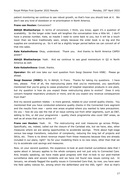patient monitoring we continue to see robust growth, so that's how you should look at it. We don't see any kind of slowdown or re-prioritisation in North America.

#### **Frans van Houten:** Conversion?

**Abhijit Bhattacharya:** In terms of conversion, I think, you know, again it's a question of availability. So the longer order book will lengthen the conversation time a little bit. I don't have a precise number, Kate, so maybe I need to come back to you, but it will be a touch lower than we have traditionally seen, simply because the order book is so big and the supplies are constraining us. So it will be a slightly longer period before we can convert all of that into sales.

**Kate Kalashnikova:** Okay, understood. Thank you. And thanks to North America CAPEX power?

**Abhijit Bhattacharya:** Yeah. And we continue to see good momentum in Q2 in North America as well.

**Kate Kalashnikova:** Great, thanks.

**Operator:** We will now take our next question from Sezgi Oezener from HSBC. Please go ahead.

**Sezgi Oezener (HSBC):** Hi, hi Abhijit, hi Frans. Thanks for taking my questions. I have two, please. First of all, the restructuring plans that you've mentioned, you specifically mentioned that you're going to cease production of hospital respiration products in one plant, but my question is how do you expect these restructuring plans to evolve? Does it only concern hospital respiratory products or more, and do you expect any revenue consequences from that?

And my second question relates – is more general, relates to your overall quality checks. You mentioned that you have conducted extensive quality checks in the Connected Care segment and the results from new – some new areas erupted where you wanted to take precautions. Do you – how do you see the risk of an issue coming out from other segments, such as D&T, adding to this, or did your programme – quality check programme also cover D&T areas, as well as all areas that you're active in?

**Frans van Houten:** Yeah. Hi. The restructuring and cost measures go across Philips. Specifically, we, indeed, called out the closure of the Carlsbad site, but we have, also, other measures where we are seeing opportunities to accelerate savings. Think about high-wage versus low-wage transitions, reduction of complexity, reducing the long tail of projects and SKUs, etc. There is no direct revenue impact from these measures because they are already included in our plans, right? So for your modelling there is no new news, other than that we try to accelerate cost savings and measures.

Now, on your second question, the expansive re-look at post-market surveillance data that I spoke about in January applies to the whole company and not just only to Connected Care. And, broadly speaking, we have made good progress with that re-look to our post-market surveillance data and severe incidents and we have not found new issues coming out. In January, we already flagged the quality issues in Connected Care that, by now, you have seen the field safety notices for, among which the defibrillator and the V60, right? And so that's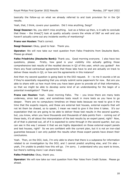basically the follow-up on what we already referred to and took provision for in the Q4 results.

Yeah, that, I think, covers your question. Did I miss anything, Sezgi?

**Sezgi Oezener:** No, you didn't miss anything. Just as a follow-up then, is it safe to conclude that these – the three[?] look at quality actually covers the whole of D&T as well and you haven't actually come out any incidents worthy of mentioning?

**Frans van Houten:** That's correct.

**Sezgi Oezener:** Okay, good to hear. Thank you.

**Operator:** We will now take our next question from Falko Friedrichs from Deutsche Bank. Please go ahead.

**Falko Friedrichs (Deutsche Bank):** Thank you. Good morning everyone. I also have two questions, please. Firstly, how good is your visibility into actually getting those comprehensive test results of the recalled devices in Q2 of this year, which you guided? Are there any fixed contractual agreements that those labs have to and are actually on track to deliver these results in Q2, or how are the agreements in this instance?

And then my second question is going back to the DOJ request. It  $-$  to me it sounds a bit as if they're essentially requesting that you simply submit some paperwork for now. But are you able to share with us how much time you have been given to provide all of that information, so that we might be able to develop some kind of an understanding for the begin of a potential investigation? Thank you.

**Frans van Houten:** Yeah. Good morning Falko. The – you know there are many tests underway, since last year, and sometimes tests result in more tests as you have to go deeper. There are no compulsory timelines on these tests because we need to give it the time that the experts require, and these are external test houses, external experts that will not let them be chased, so to speak; I mean we need to give it the time it takes. It's our expectation that we are going to be able to deliver those test results in the second quarter, but, you know, when you have thousands and thousands of data points from – coming out of these tests, it's all about the interpretation of the test results by an expert panel, right? Now, all of that is planned out, all of it is expected to come through in the second quarter, but you can see in the way I answer it that we are highly dependent on those external expert panels and test houses, right? So we are confident with the current plan, but it is not an iron-clad guarantee because I can only publish the results when those expert panels have drawn their conclusions.

Yeah. Then, on the DOJ, look, I'm only able to share that there is a subpoena for information related to an investigation by the DOJ, and I cannot predict anything else, and I'm also – yeah, I'm unable to predict how this will go. I'm sorry. I understand why you want to know, but there's nothing more I can share today.

**Falko Friedrichs:** Okay, thank you.

**Operator:** We will now take our next question from Max Yates from Credit Suisse. Please go ahead.